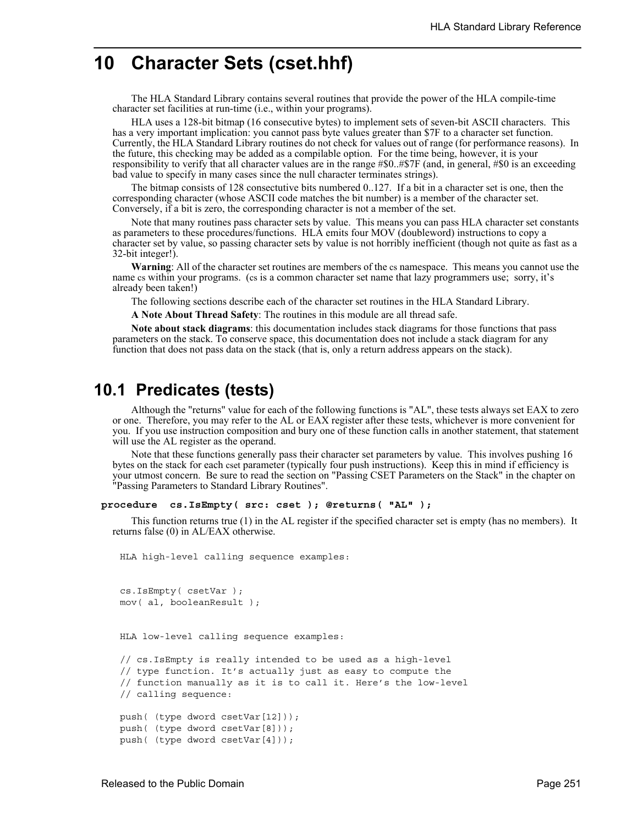# **10 Character Sets (cset.hhf)**

The HLA Standard Library contains several routines that provide the power of the HLA compile-time character set facilities at run-time (i.e., within your programs).

HLA uses a 128-bit bitmap (16 consecutive bytes) to implement sets of seven-bit ASCII characters. This has a very important implication: you cannot pass byte values greater than \$7F to a character set function. Currently, the HLA Standard Library routines do not check for values out of range (for performance reasons). In the future, this checking may be added as a compilable option. For the time being, however, it is your responsibility to verify that all character values are in the range #\$0..#\$7F (and, in general, #\$0 is an exceeding bad value to specify in many cases since the null character terminates strings).

The bitmap consists of 128 consectutive bits numbered 0..127. If a bit in a character set is one, then the corresponding character (whose ASCII code matches the bit number) is a member of the character set. Conversely, if a bit is zero, the corresponding character is not a member of the set.

Note that many routines pass character sets by value. This means you can pass HLA character set constants as parameters to these procedures/functions. HLA emits four MOV (doubleword) instructions to copy a character set by value, so passing character sets by value is not horribly inefficient (though not quite as fast as a 32-bit integer!).

**Warning**: All of the character set routines are members of the cs namespace. This means you cannot use the name cs within your programs. (cs is a common character set name that lazy programmers use; sorry, it's already been taken!)

The following sections describe each of the character set routines in the HLA Standard Library.

**A Note About Thread Safety**: The routines in this module are all thread safe.

**Note about stack diagrams**: this documentation includes stack diagrams for those functions that pass parameters on the stack. To conserve space, this documentation does not include a stack diagram for any function that does not pass data on the stack (that is, only a return address appears on the stack).

## **10.1 Predicates (tests)**

Although the "returns" value for each of the following functions is "AL", these tests always set EAX to zero or one. Therefore, you may refer to the AL or EAX register after these tests, whichever is more convenient for you. If you use instruction composition and bury one of these function calls in another statement, that statement will use the AL register as the operand.

Note that these functions generally pass their character set parameters by value. This involves pushing 16 bytes on the stack for each cset parameter (typically four push instructions). Keep this in mind if efficiency is your utmost concern. Be sure to read the section on "Passing CSET Parameters on the Stack" in the chapter on "Passing Parameters to Standard Library Routines".

### **procedure cs.IsEmpty( src: cset ); @returns( "AL" );**

This function returns true (1) in the AL register if the specified character set is empty (has no members). It returns false (0) in AL/EAX otherwise.

HLA high-level calling sequence examples:

```
cs.IsEmpty( csetVar );
mov( al, booleanResult );
```
HLA low-level calling sequence examples:

```
// cs.IsEmpty is really intended to be used as a high-level
// type function. It's actually just as easy to compute the
// function manually as it is to call it. Here's the low-level
// calling sequence:
push( (type dword csetVar[12]));
push( (type dword csetVar[8]));
push( (type dword csetVar[4]));
```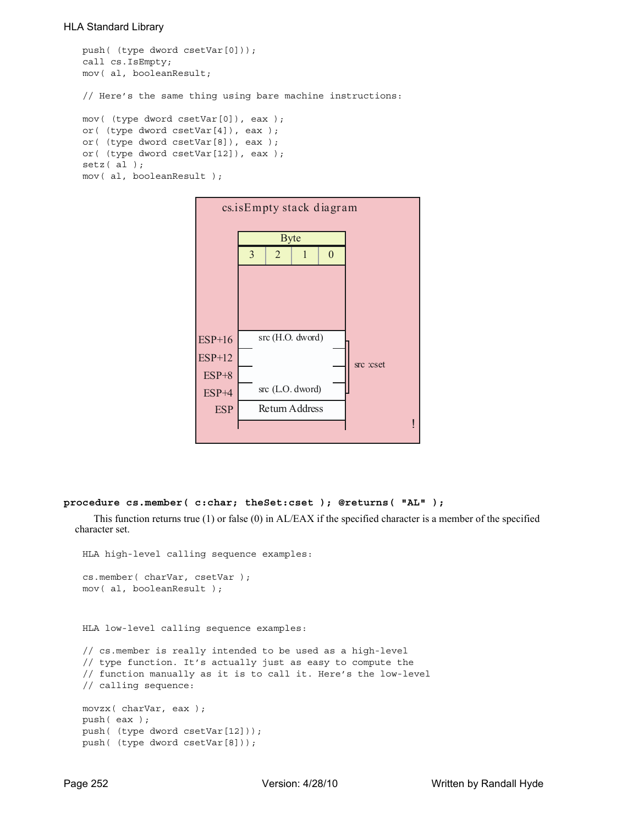```
push( (type dword csetVar[0]));
call cs.IsEmpty;
mov( al, booleanResult;
// Here's the same thing using bare machine instructions:
mov( (type dword csetVar[0]), eax );
or( (type dword csetVar[4]), eax );
or( (type dword csetVar[8]), eax );
or( (type dword csetVar[12]), eax );
setz( al );
mov( al, booleanResult );
```


#### **procedure cs.member( c:char; theSet:cset ); @returns( "AL" );**

This function returns true (1) or false (0) in AL/EAX if the specified character is a member of the specified character set.

```
HLA high-level calling sequence examples:
cs.member( charVar, csetVar );
mov( al, booleanResult );
```
HLA low-level calling sequence examples:

```
// cs.member is really intended to be used as a high-level
// type function. It's actually just as easy to compute the
// function manually as it is to call it. Here's the low-level
// calling sequence:
movzx( charVar, eax );
push( eax );
push( (type dword csetVar[12]));
push( (type dword csetVar[8]));
```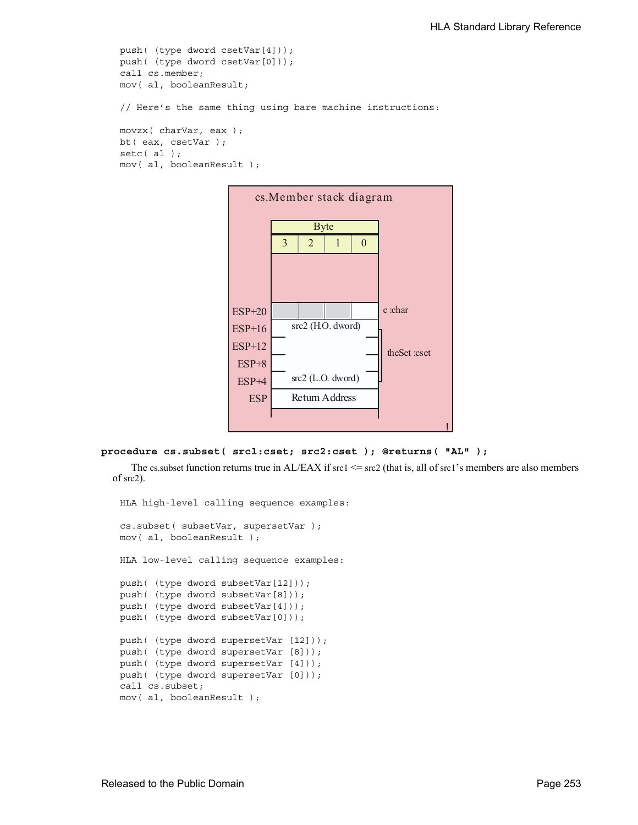```
push( (type dword csetVar[4]));
push( (type dword csetVar[0]));
call cs.member;
mov( al, booleanResult;
// Here's the same thing using bare machine instructions:
movzx( charVar, eax );
bt( eax, csetVar );
setc( al );
mov( al, booleanResult );
```


```
procedure cs.subset( src1:cset; src2:cset ); @returns( "AL" );
```
The cs. subset function returns true in  $AL/EAX$  if src1  $\leq$  src2 (that is, all of src1's members are also members of src2).

HLA high-level calling sequence examples: cs.subset( subsetVar, supersetVar ); mov( al, booleanResult ); HLA low-level calling sequence examples: push( (type dword subsetVar[12])); push( (type dword subsetVar[8])); push( (type dword subsetVar[4])); push( (type dword subsetVar[0])); push( (type dword supersetVar [12])); push( (type dword supersetVar [8])); push( (type dword supersetVar [4])); push( (type dword supersetVar [0])); call cs.subset; mov( al, booleanResult );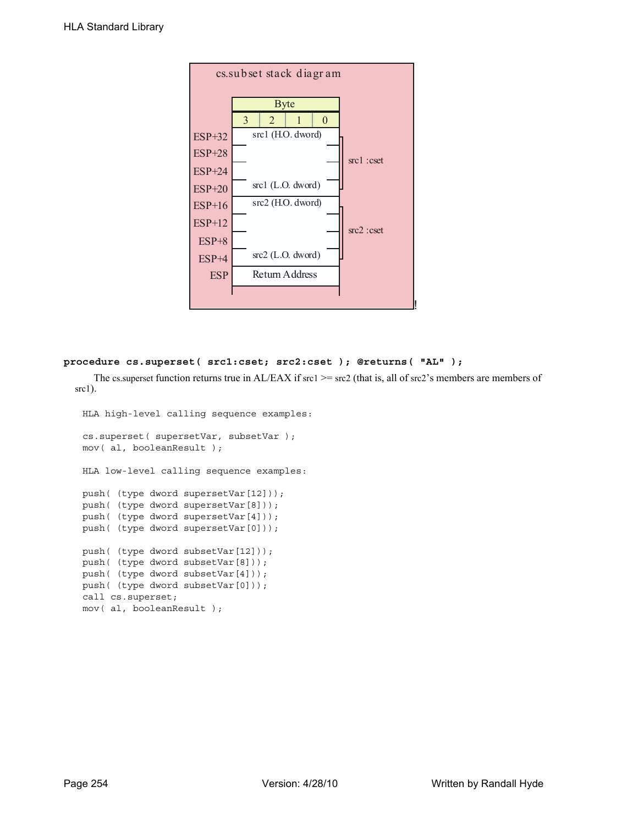

## **procedure cs.superset( src1:cset; src2:cset ); @returns( "AL" );**

The cs. superset function returns true in AL/EAX if src1  $>=$  src2 (that is, all of src2's members are members of  $src1$ ).

```
HLA high-level calling sequence examples:
cs.superset( supersetVar, subsetVar );
mov( al, booleanResult );
HLA low-level calling sequence examples:
push( (type dword supersetVar[12]));
push( (type dword supersetVar[8]));
push( (type dword supersetVar[4]));
push( (type dword supersetVar[0]));
push( (type dword subsetVar[12]));
push( (type dword subsetVar[8]));
push( (type dword subsetVar[4]));
push( (type dword subsetVar[0]));
call cs.superset;
mov( al, booleanResult );
```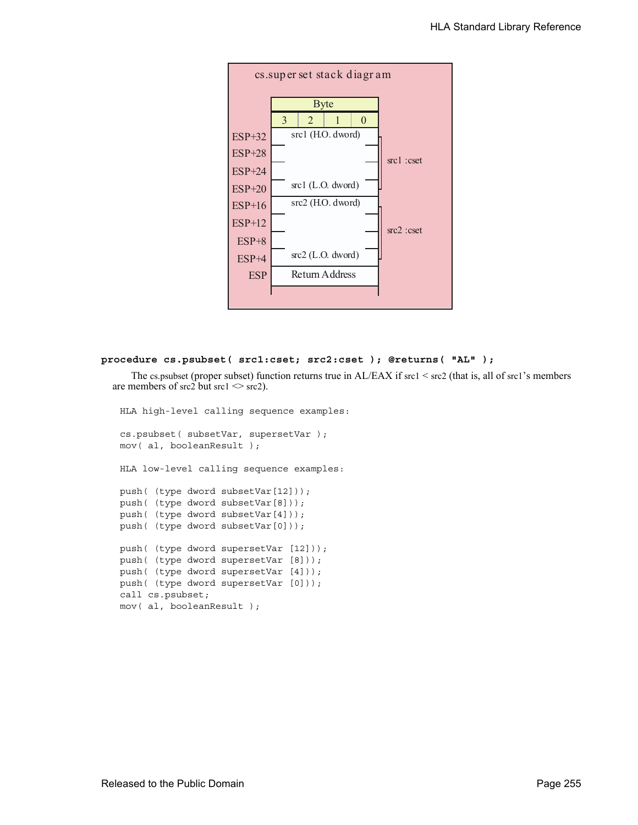

#### **procedure cs.psubset( src1:cset; src2:cset ); @returns( "AL" );**

The cs.psubset (proper subset) function returns true in AL/EAX if src1 < src2 (that is, all of src1's members are members of src2 but src1  $\le$  src2).

HLA high-level calling sequence examples: cs.psubset( subsetVar, supersetVar ); mov( al, booleanResult ); HLA low-level calling sequence examples: push( (type dword subsetVar[12])); push( (type dword subsetVar[8])); push( (type dword subsetVar[4])); push( (type dword subsetVar[0])); push( (type dword supersetVar [12])); push( (type dword supersetVar [8])); push( (type dword supersetVar [4])); push( (type dword supersetVar [0])); call cs.psubset; mov( al, booleanResult );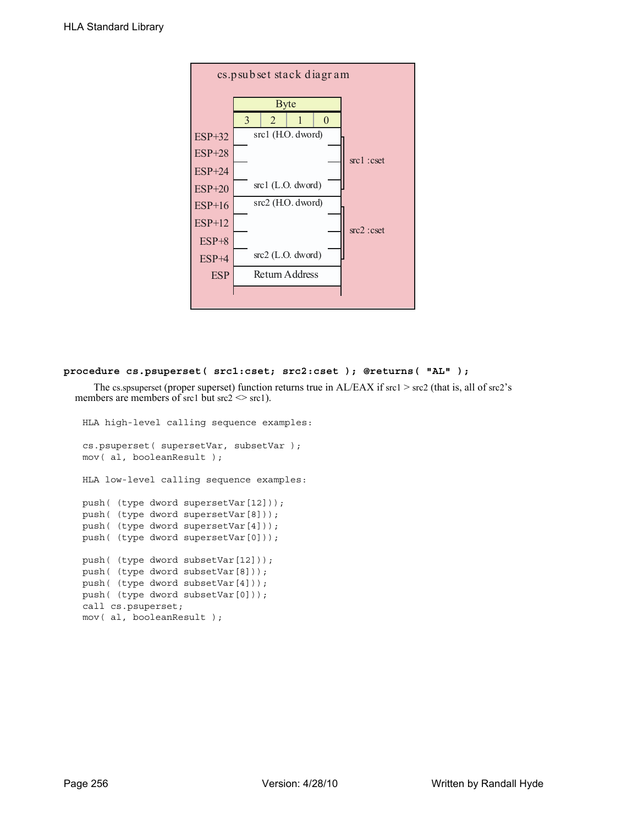

## **procedure cs.psuperset( src1:cset; src2:cset ); @returns( "AL" );**

The cs.spsuperset (proper superset) function returns true in AL/EAX if src1 > src2 (that is, all of src2's members are members of src1 but  $src2 \leq src1$ .

```
HLA high-level calling sequence examples:
cs.psuperset( supersetVar, subsetVar );
mov( al, booleanResult );
HLA low-level calling sequence examples:
push( (type dword supersetVar[12]));
push( (type dword supersetVar[8]));
push( (type dword supersetVar[4]));
push( (type dword supersetVar[0]));
push( (type dword subsetVar[12]));
push( (type dword subsetVar[8]));
push( (type dword subsetVar[4]));
push( (type dword subsetVar[0]));
call cs.psuperset;
mov( al, booleanResult );
```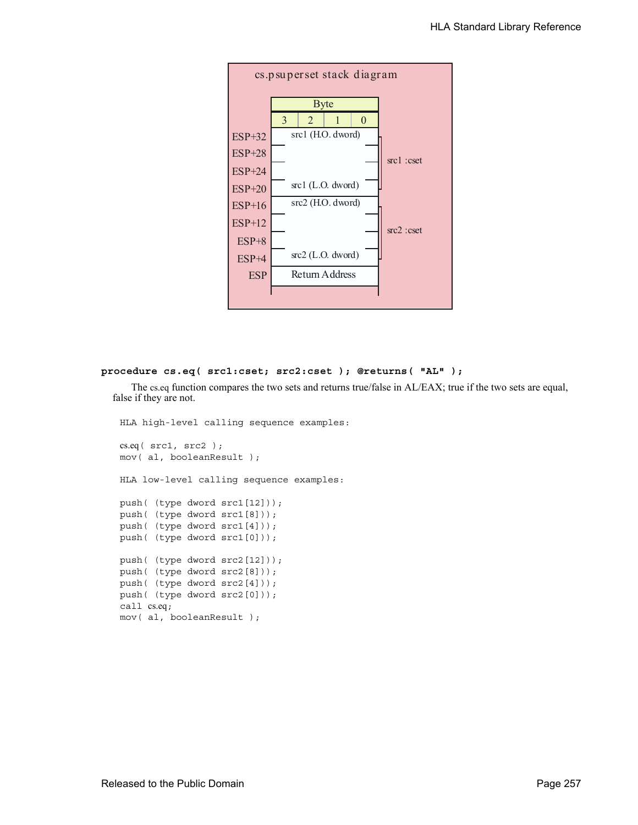

#### **procedure cs.eq( src1:cset; src2:cset ); @returns( "AL" );**

The cs.eq function compares the two sets and returns true/false in AL/EAX; true if the two sets are equal, false if they are not.

HLA high-level calling sequence examples: cs.eq( src1, src2 ); mov( al, booleanResult ); HLA low-level calling sequence examples: push( (type dword src1[12])); push( (type dword src1[8])); push( (type dword src1[4])); push( (type dword src1[0])); push( (type dword src2[12])); push( (type dword src2[8])); push( (type dword src2[4])); push( (type dword src2[0])); call cs.eq; mov( al, booleanResult );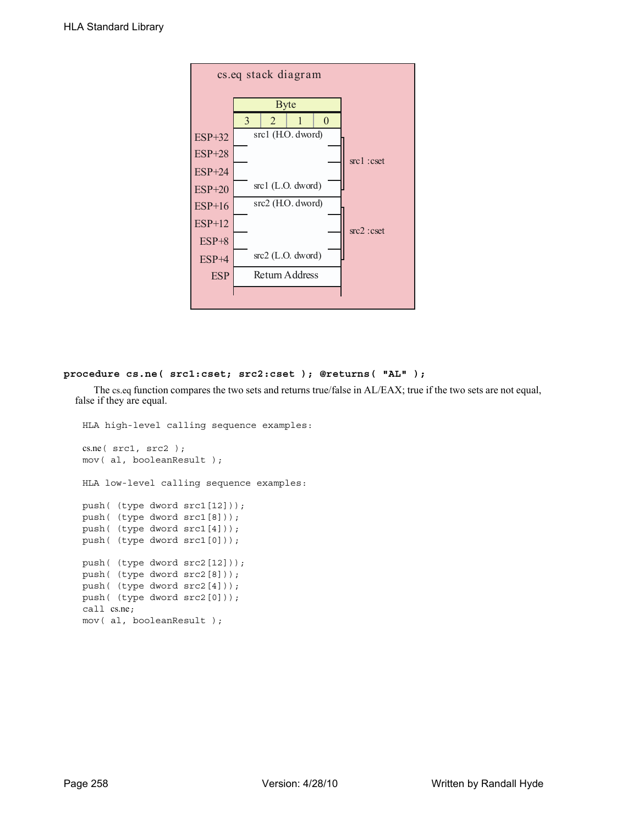

#### **procedure cs.ne( src1:cset; src2:cset ); @returns( "AL" );**

The cs.eq function compares the two sets and returns true/false in AL/EAX; true if the two sets are not equal, false if they are equal.

```
HLA high-level calling sequence examples:
cs.ne( src1, src2 );
mov( al, booleanResult );
HLA low-level calling sequence examples:
push( (type dword src1[12]));
push( (type dword src1[8]));
push( (type dword src1[4]));
push( (type dword src1[0]));
push( (type dword src2[12]));
push( (type dword src2[8]));
push( (type dword src2[4]));
push( (type dword src2[0]));
call cs.ne;
mov( al, booleanResult );
```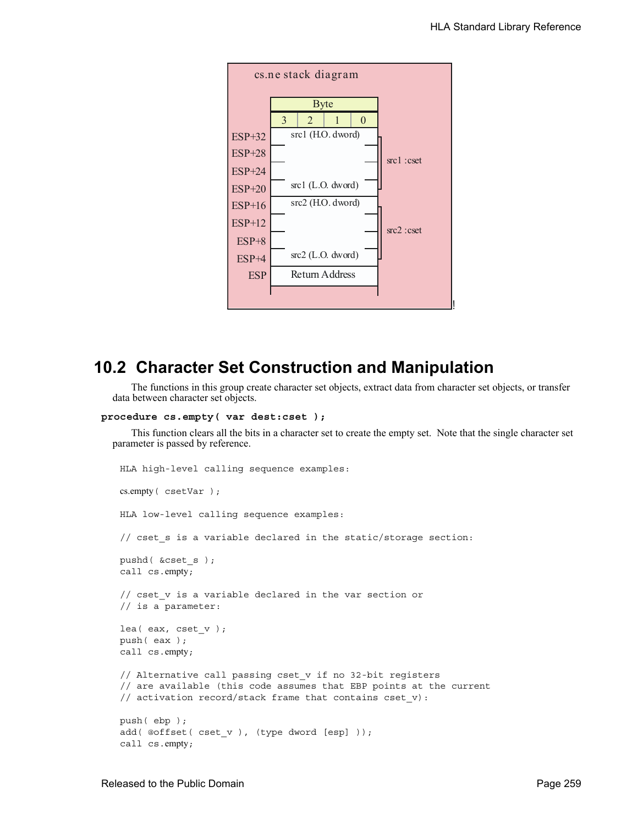

## **10.2 Character Set Construction and Manipulation**

The functions in this group create character set objects, extract data from character set objects, or transfer data between character set objects.

```
procedure cs.empty( var dest:cset );
```
This function clears all the bits in a character set to create the empty set. Note that the single character set parameter is passed by reference.

```
HLA high-level calling sequence examples:
cs.empty( csetVar );
HLA low-level calling sequence examples:
// cset_s is a variable declared in the static/storage section:
pushd( &cset_s );
call cs.empty;
// cset_v is a variable declared in the var section or
// is a parameter:
lea( eax, cset_v );
push( eax );
call cs.empty;
// Alternative call passing cset_v if no 32-bit registers
// are available (this code assumes that EBP points at the current
// activation record/stack frame that contains cset_v):
push( ebp );
add( @offset( cset_v ), (type dword [esp] ));
call cs.empty;
```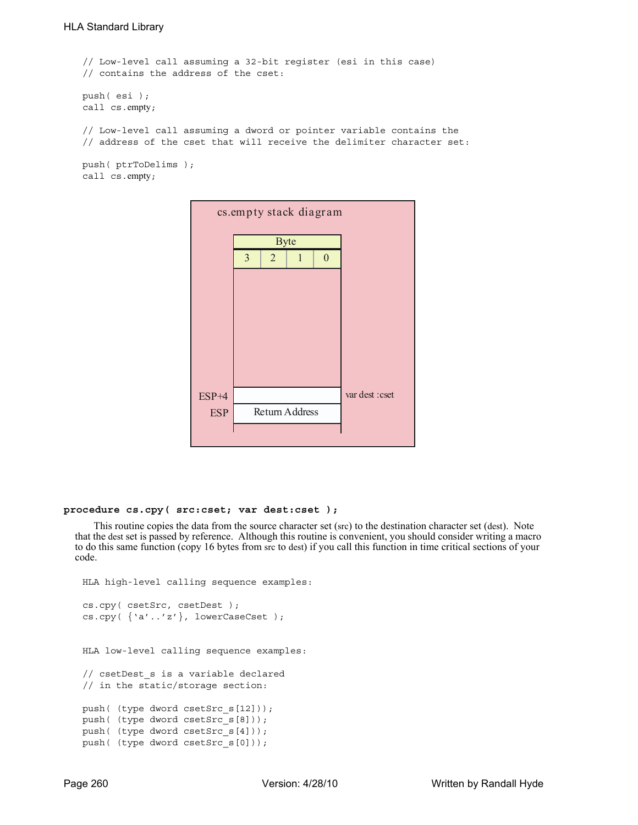```
// Low-level call assuming a 32-bit register (esi in this case)
// contains the address of the cset:
push( esi );
call cs.empty;
// Low-level call assuming a dword or pointer variable contains the
// address of the cset that will receive the delimiter character set:
push( ptrToDelims );
```

```
call cs.empty;
```

| cs.empty stack diagram |   |                |                |                  |                 |  |  |  |
|------------------------|---|----------------|----------------|------------------|-----------------|--|--|--|
|                        |   | <b>Byte</b>    |                |                  |                 |  |  |  |
|                        | 3 | $\overline{2}$ | 1              | $\boldsymbol{0}$ |                 |  |  |  |
|                        |   |                |                |                  |                 |  |  |  |
|                        |   |                |                |                  |                 |  |  |  |
|                        |   |                |                |                  |                 |  |  |  |
|                        |   |                |                |                  |                 |  |  |  |
|                        |   |                |                |                  |                 |  |  |  |
|                        |   |                |                |                  |                 |  |  |  |
| $ESP+4$                |   |                |                |                  | var dest : cset |  |  |  |
| <b>ESP</b>             |   |                | Return Address |                  |                 |  |  |  |
|                        |   |                |                |                  |                 |  |  |  |

#### **procedure cs.cpy( src:cset; var dest:cset );**

This routine copies the data from the source character set (src) to the destination character set (dest). Note that the dest set is passed by reference. Although this routine is convenient, you should consider writing a macro to do this same function (copy 16 bytes from src to dest) if you call this function in time critical sections of your code.

```
HLA high-level calling sequence examples:
cs.cpy( csetSrc, csetDest );
cs.cpy( {'a'..'z'}, lowerCaseCset );
HLA low-level calling sequence examples:
// csetDest s is a variable declared
// in the static/storage section:
push( (type dword csetSrc_s[12]));
push( (type dword csetSrc_s[8]));
push( (type dword csetSrc_s[4]));
push( (type dword csetSrc_s[0]));
```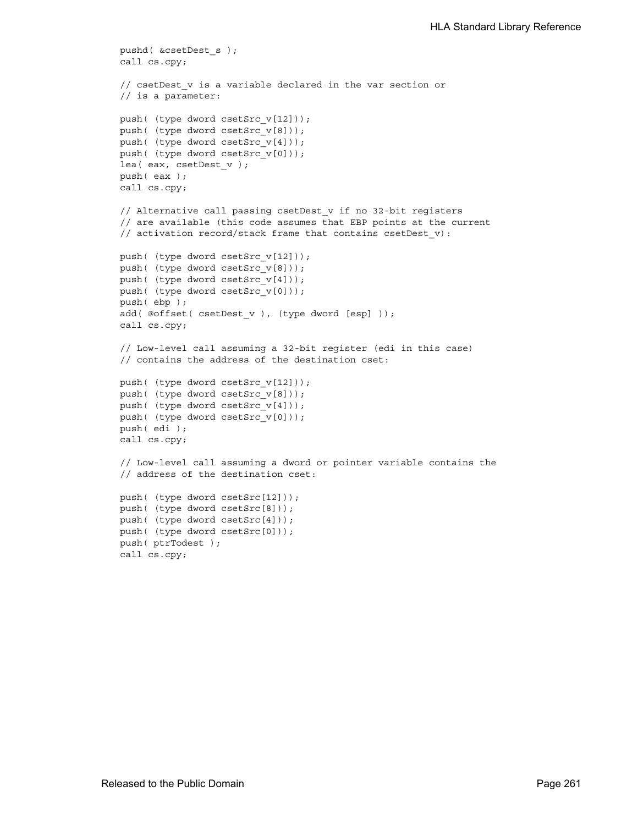```
pushd( &csetDest_s );
call cs.cpy;
// csetDest v is a variable declared in the var section or
// is a parameter:
push( (type dword csetSrc_v[12]));
push( (type dword csetSrc_v[8]));
push( (type dword csetSrc_v[4]));
push( (type dword csetSrc_v[0]));
lea( eax, csetDest_v );
push( eax );
call cs.cpy;
// Alternative call passing csetDest v if no 32-bit registers
// are available (this code assumes that EBP points at the current
// activation record/stack frame that contains csetDest_v):
push( (type dword csetSrc_v[12]));
push( (type dword csetSrc_v[8]));
push( (type dword csetSrc v[4]));
push( (type dword csetSrc v[0]));
push( ebp );
add( @offset( csetDest v ), (type dword [esp] ));
call cs.cpy;
// Low-level call assuming a 32-bit register (edi in this case)
// contains the address of the destination cset:
push( (type dword csetSrc v[12]));
push( (type dword csetSrc_v[8]));
push( (type dword csetSrc_v[4]));
push( (type dword csetSrc_v[0]));
push( edi );
call cs.cpy;
// Low-level call assuming a dword or pointer variable contains the
// address of the destination cset:
push( (type dword csetSrc[12]));
push( (type dword csetSrc[8]));
push( (type dword csetSrc[4]));
push( (type dword csetSrc[0]));
push( ptrTodest );
call cs.cpy;
```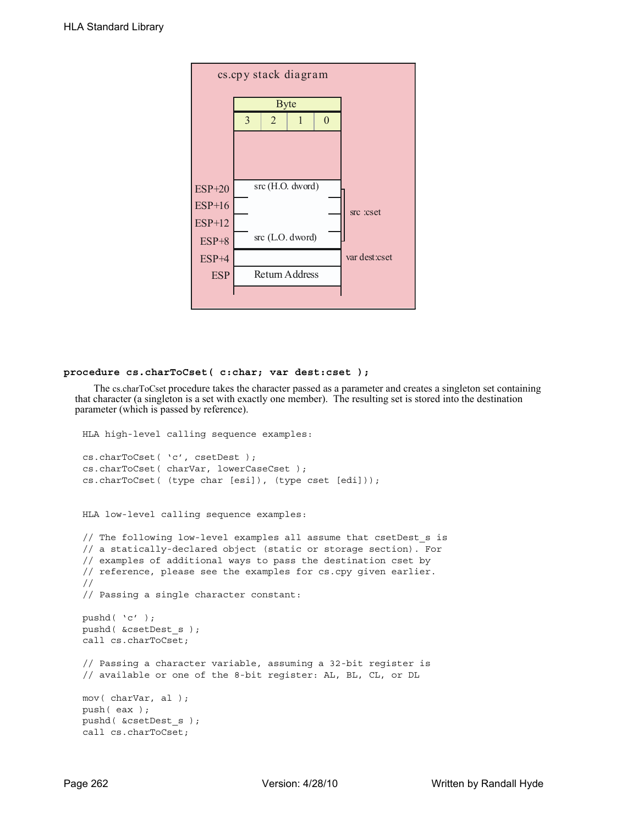| cs.cpy stack diagram |   |                |                  |          |               |  |  |  |  |
|----------------------|---|----------------|------------------|----------|---------------|--|--|--|--|
|                      |   | <b>Byte</b>    |                  |          |               |  |  |  |  |
|                      | 3 | $\overline{2}$ | 1                | $\Omega$ |               |  |  |  |  |
|                      |   |                |                  |          |               |  |  |  |  |
|                      |   |                |                  |          |               |  |  |  |  |
|                      |   |                |                  |          |               |  |  |  |  |
| $ESP+20$             |   |                | src (H.O. dword) |          |               |  |  |  |  |
| $ESP+16$             |   |                |                  |          | src :cset     |  |  |  |  |
| $ESP+12$             |   |                |                  |          |               |  |  |  |  |
| $ESP+8$              |   |                | src (L.O. dword) |          |               |  |  |  |  |
| $ESP+4$              |   |                |                  |          | var dest:cset |  |  |  |  |
| <b>ESP</b>           |   |                | Return Address   |          |               |  |  |  |  |
|                      |   |                |                  |          |               |  |  |  |  |

#### **procedure cs.charToCset( c:char; var dest:cset );**

The cs.charToCset procedure takes the character passed as a parameter and creates a singleton set containing that character (a singleton is a set with exactly one member). The resulting set is stored into the destination parameter (which is passed by reference).

```
HLA high-level calling sequence examples:
cs.charToCset( 'c', csetDest );
cs.charToCset( charVar, lowerCaseCset );
cs.charToCset( (type char [esi]), (type cset [edi]));
HLA low-level calling sequence examples:
// The following low-level examples all assume that csetDest_s is
// a statically-declared object (static or storage section). For
// examples of additional ways to pass the destination cset by
// reference, please see the examples for cs.cpy given earlier.
//
// Passing a single character constant:
pushd( 'c' );
pushd( &csetDest_s );
call cs.charToCset;
// Passing a character variable, assuming a 32-bit register is
// available or one of the 8-bit register: AL, BL, CL, or DL
mov( charVar, al );
push( eax );
pushd( &csetDest_s );
call cs.charToCset;
```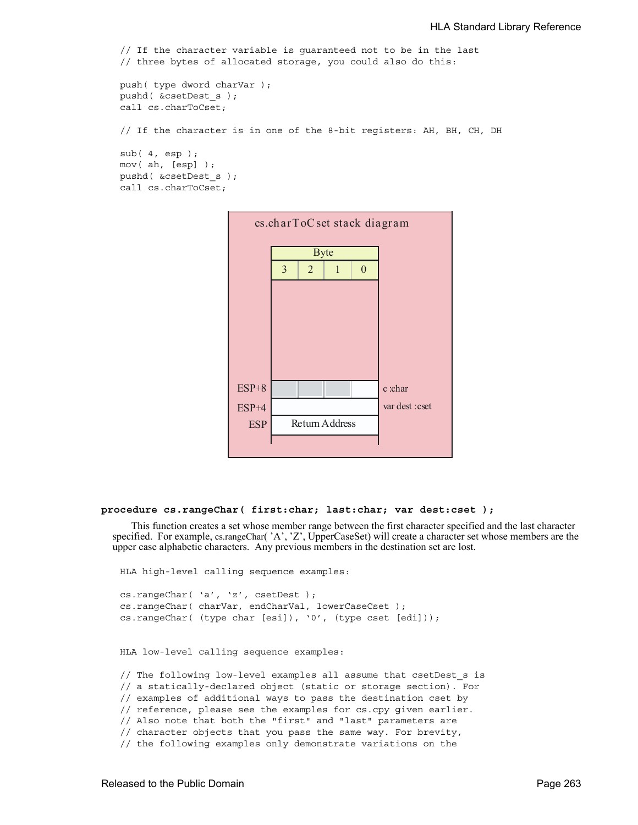```
// If the character variable is guaranteed not to be in the last
// three bytes of allocated storage, you could also do this:
push( type dword charVar );
pushd( &csetDest_s );
call cs.charToCset;
// If the character is in one of the 8-bit registers: AH, BH, CH, DH
sub( 4, esp );
mov( ah, [esp] );
pushd( &csetDest_s );
call cs.charToCset;
```


#### **procedure cs.rangeChar( first:char; last:char; var dest:cset );**

This function creates a set whose member range between the first character specified and the last character specified. For example, cs.rangeChar( 'A', 'Z', UpperCaseSet) will create a character set whose members are the upper case alphabetic characters. Any previous members in the destination set are lost.

HLA high-level calling sequence examples: cs.rangeChar( 'a', 'z', csetDest ); cs.rangeChar( charVar, endCharVal, lowerCaseCset ); cs.rangeChar( (type char [esi]), '0', (type cset [edi])); HLA low-level calling sequence examples: // The following low-level examples all assume that csetDest\_s is // a statically-declared object (static or storage section). For // examples of additional ways to pass the destination cset by // reference, please see the examples for cs.cpy given earlier. // Also note that both the "first" and "last" parameters are

```
// character objects that you pass the same way. For brevity,
```
// the following examples only demonstrate variations on the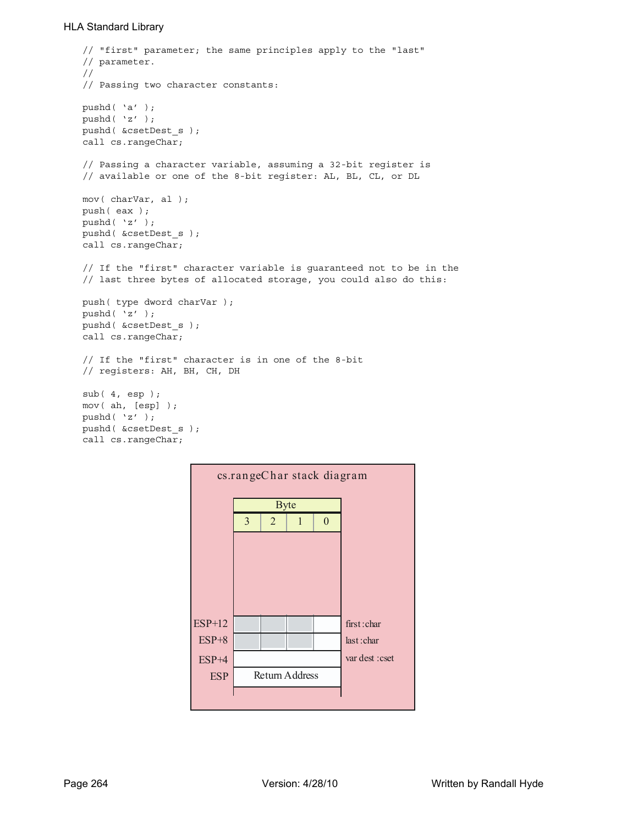```
// "first" parameter; the same principles apply to the "last"
// parameter.
//
// Passing two character constants:
pushd( 'a' );
pushd( 'z' );
pushd( &csetDest_s );
call cs.rangeChar;
// Passing a character variable, assuming a 32-bit register is
// available or one of the 8-bit register: AL, BL, CL, or DL
mov( charVar, al );
push( eax );
pushd( 'z' );
pushd( &csetDest_s );
call cs.rangeChar;
// If the "first" character variable is guaranteed not to be in the 
// last three bytes of allocated storage, you could also do this:
push( type dword charVar );
pushd( 'z' );
pushd( &csetDest_s );
call cs.rangeChar;
// If the "first" character is in one of the 8-bit 
// registers: AH, BH, CH, DH
sub( 4, esp );
mov( ah, [esp] );
pushd( 'z' );
pushd( &csetDest_s );
call cs.rangeChar;
```
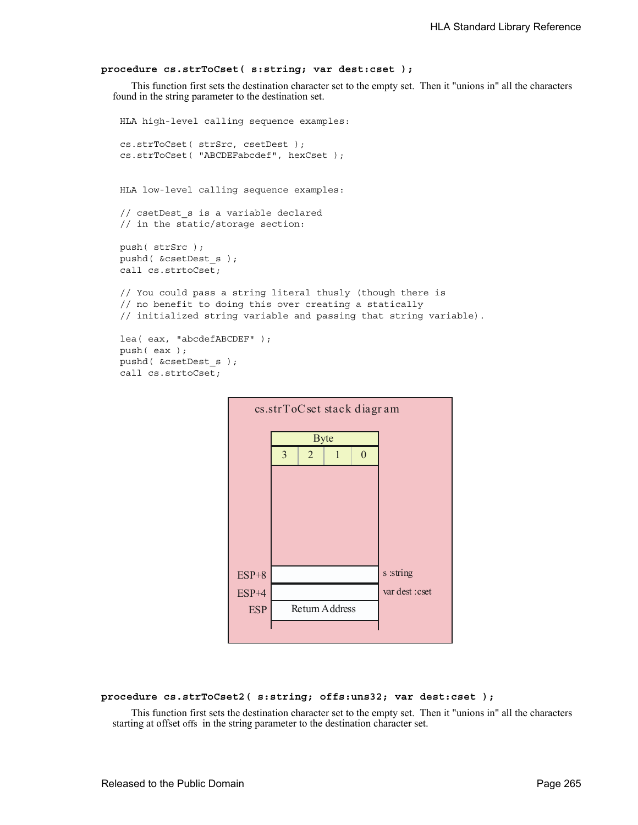## **procedure cs.strToCset( s:string; var dest:cset );**

This function first sets the destination character set to the empty set. Then it "unions in" all the characters found in the string parameter to the destination set.

```
HLA high-level calling sequence examples:
cs.strToCset( strSrc, csetDest );
cs.strToCset( "ABCDEFabcdef", hexCset );
HLA low-level calling sequence examples:
// csetDest_s is a variable declared 
// in the static/storage section:
push( strSrc );
pushd( &csetDest_s );
call cs.strtoCset;
// You could pass a string literal thusly (though there is
// no benefit to doing this over creating a statically
// initialized string variable and passing that string variable).
lea( eax, "abcdefABCDEF" );
push( eax );
pushd( &csetDest_s );
call cs.strtoCset;
```


#### **procedure cs.strToCset2( s:string; offs:uns32; var dest:cset );**

This function first sets the destination character set to the empty set. Then it "unions in" all the characters starting at offset offs in the string parameter to the destination character set.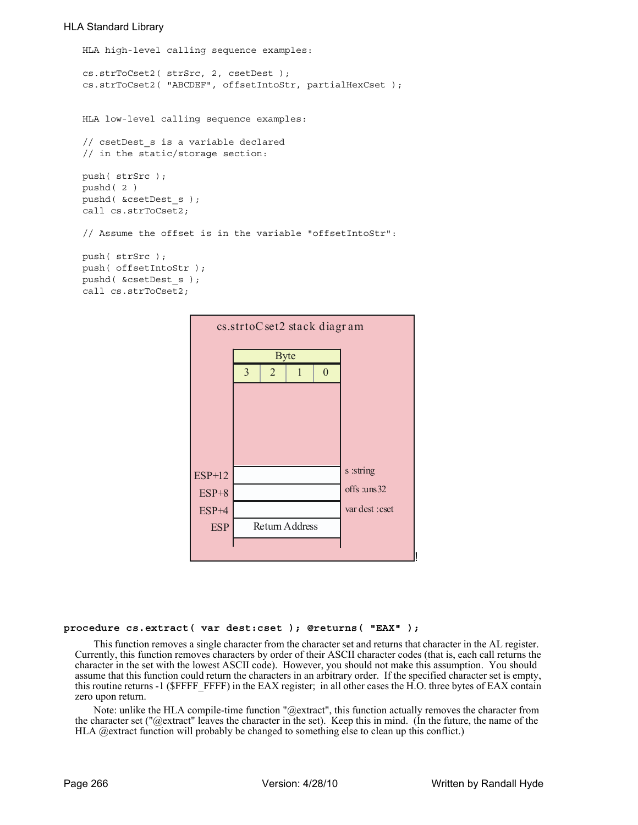```
HLA high-level calling sequence examples:
cs.strToCset2( strSrc, 2, csetDest );
cs.strToCset2( "ABCDEF", offsetIntoStr, partialHexCset );
HLA low-level calling sequence examples:
// csetDest_s is a variable declared 
// in the static/storage section:
push( strSrc );
pushd( 2 )
pushd( &csetDest_s );
call cs.strToCset2;
// Assume the offset is in the variable "offsetIntoStr":
push( strSrc );
push( offsetIntoStr );
pushd( &csetDest_s );
call cs.strToCset2;
```


#### **procedure cs.extract( var dest:cset ); @returns( "EAX" );**

This function removes a single character from the character set and returns that character in the AL register. Currently, this function removes characters by order of their ASCII character codes (that is, each call returns the character in the set with the lowest ASCII code). However, you should not make this assumption. You should assume that this function could return the characters in an arbitrary order. If the specified character set is empty, this routine returns -1 (\$FFFF\_FFFF) in the EAX register; in all other cases the H.O. three bytes of EAX contain zero upon return.

Note: unlike the HLA compile-time function "@extract", this function actually removes the character from the character set ("@extract" leaves the character in the set). Keep this in mind. (In the future, the name of the HLA @extract function will probably be changed to something else to clean up this conflict.)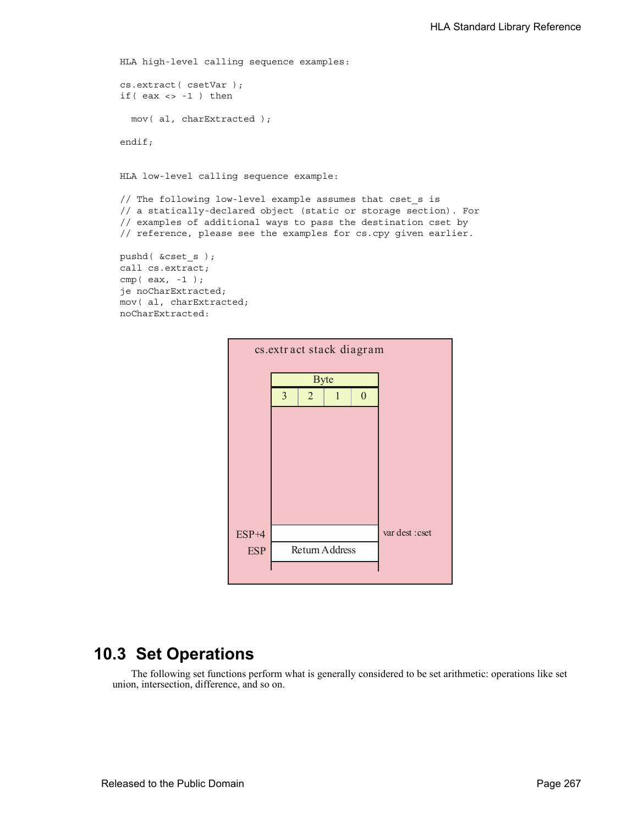```
HLA high-level calling sequence examples:
cs.extract( csetVar );
if(eax <> -1) then
  mov( al, charExtracted );
endif;
HLA low-level calling sequence example:
// The following low-level example assumes that cset_s is
```

```
// a statically-declared object (static or storage section). For
// examples of additional ways to pass the destination cset by
// reference, please see the examples for cs.cpy given earlier.
```

```
pushd( &cset_s );
call cs.extract;
cmp( eax, -1 );
je noCharExtracted;
mov( al, charExtracted;
noCharExtracted:
```


## **10.3 Set Operations**

The following set functions perform what is generally considered to be set arithmetic: operations like set union, intersection, difference, and so on.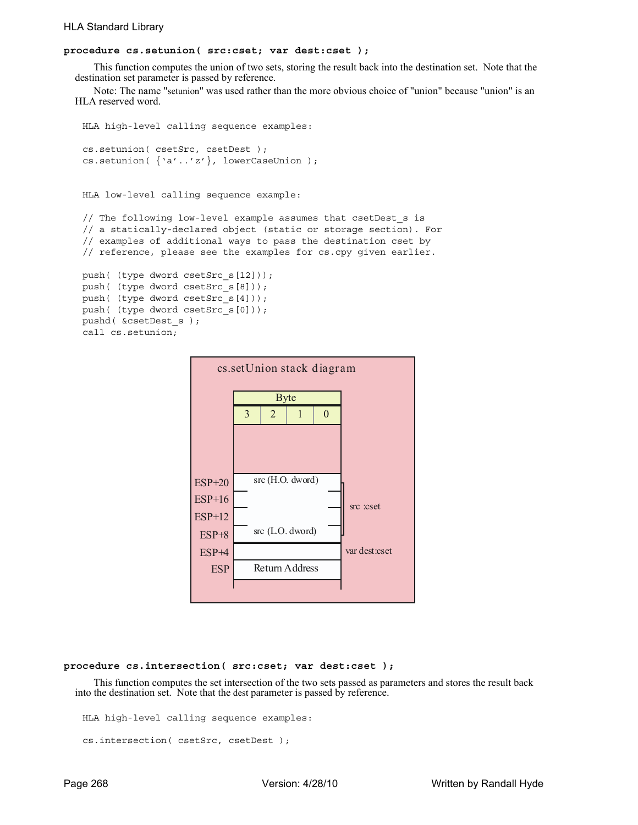## **procedure cs.setunion( src:cset; var dest:cset );**

This function computes the union of two sets, storing the result back into the destination set. Note that the destination set parameter is passed by reference.

Note: The name "setunion" was used rather than the more obvious choice of "union" because "union" is an HLA reserved word.

```
HLA high-level calling sequence examples:
cs.setunion( csetSrc, csetDest );
cs.setunion( {'a'..'z'}, lowerCaseUnion );
HLA low-level calling sequence example:
// The following low-level example assumes that csetDest_s is
// a statically-declared object (static or storage section). For
// examples of additional ways to pass the destination cset by
```
// reference, please see the examples for cs.cpy given earlier.

```
push( (type dword csetSrc_s[12]));
push( (type dword csetSrc_s[8]));
push( (type dword csetSrc_s[4]));
push( (type dword csetSrc_s[0]));
pushd( &csetDest_s );
call cs.setunion;
```


#### **procedure cs.intersection( src:cset; var dest:cset );**

This function computes the set intersection of the two sets passed as parameters and stores the result back into the destination set. Note that the dest parameter is passed by reference.

HLA high-level calling sequence examples:

```
cs.intersection( csetSrc, csetDest );
```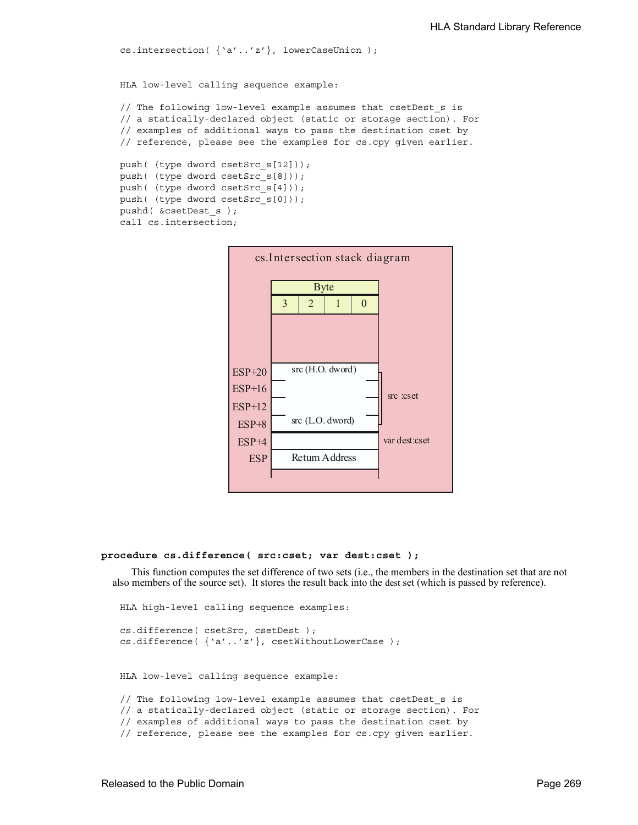```
cs.intersection( {'a'..'z'}, lowerCaseUnion );
HLA low-level calling sequence example:
// The following low-level example assumes that csetDest s is
// a statically-declared object (static or storage section). For
// examples of additional ways to pass the destination cset by
// reference, please see the examples for cs.cpy given earlier.
push( (type dword csetSrc_s[12]));
push( (type dword csetSrc_s[8]));
push( (type dword csetSrc_s[4]));
push( (type dword csetSrc_s[0]));
pushd( &csetDest_s );
call cs.intersection;
```


#### **procedure cs.difference( src:cset; var dest:cset );**

This function computes the set difference of two sets (i.e., the members in the destination set that are not also members of the source set). It stores the result back into the dest set (which is passed by reference).

```
HLA high-level calling sequence examples:
cs.difference( csetSrc, csetDest );
cs.difference( {'a'..'z'}, csetWithoutLowerCase );
HLA low-level calling sequence example:
// The following low-level example assumes that csetDest s is
// a statically-declared object (static or storage section). For
// examples of additional ways to pass the destination cset by
// reference, please see the examples for cs.cpy given earlier.
```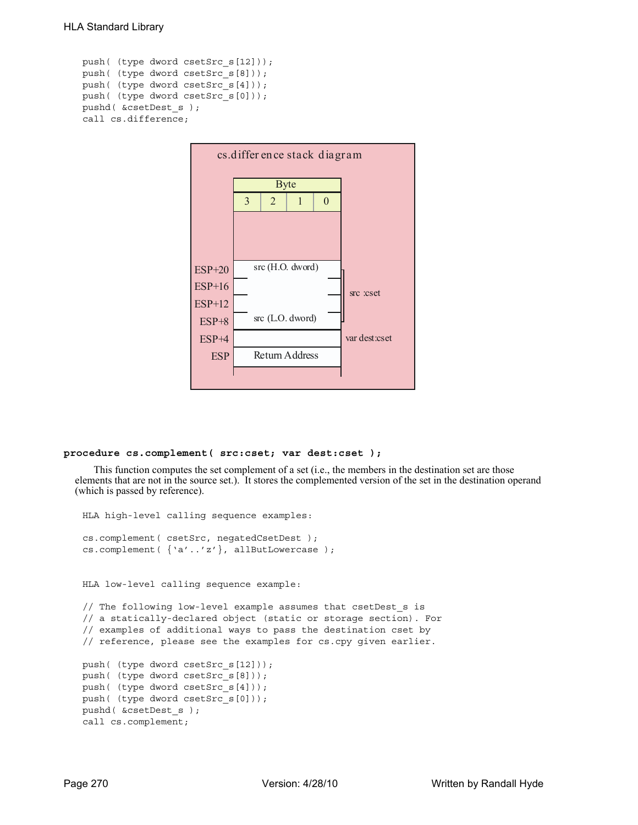```
push( (type dword csetSrc_s[12]));
push( (type dword csetSrc_s[8]));
push( (type dword csetSrc_s[4]));
push( (type dword csetSrc_s[0]));
pushd( &csetDest_s );
call cs.difference;
```


## **procedure cs.complement( src:cset; var dest:cset );**

This function computes the set complement of a set (i.e., the members in the destination set are those elements that are not in the source set.). It stores the complemented version of the set in the destination operand (which is passed by reference).

```
HLA high-level calling sequence examples:
cs.complement( csetSrc, negatedCsetDest );
cs.complement( {'a'..'z'}, allButLowercase );
HLA low-level calling sequence example:
// The following low-level example assumes that csetDest_s is
// a statically-declared object (static or storage section). For
// examples of additional ways to pass the destination cset by
// reference, please see the examples for cs.cpy given earlier.
push( (type dword csetSrc_s[12]));
push( (type dword csetSrc_s[8]));
push( (type dword csetSrc_s[4]));
push( (type dword csetSrc_s[0]));
pushd( &csetDest_s );
call cs.complement;
```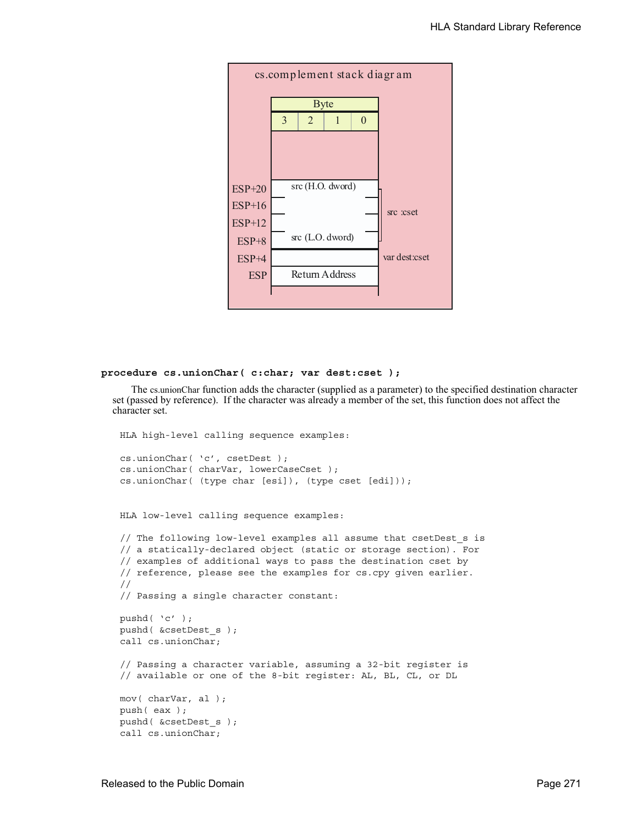

#### **procedure cs.unionChar( c:char; var dest:cset );**

The cs.unionChar function adds the character (supplied as a parameter) to the specified destination character set (passed by reference). If the character was already a member of the set, this function does not affect the character set.

```
HLA high-level calling sequence examples:
cs.unionChar( 'c', csetDest );
cs.unionChar( charVar, lowerCaseCset );
cs.unionChar( (type char [esi]), (type cset [edi]));
HLA low-level calling sequence examples:
// The following low-level examples all assume that csetDest_s is
// a statically-declared object (static or storage section). For
// examples of additional ways to pass the destination cset by
// reference, please see the examples for cs.cpy given earlier.
//
// Passing a single character constant:
pushd( 'c' );
pushd( &csetDest_s );
call cs.unionChar;
// Passing a character variable, assuming a 32-bit register is
// available or one of the 8-bit register: AL, BL, CL, or DL
mov( charVar, al );
push( eax );
pushd( &csetDest_s );
call cs.unionChar;
```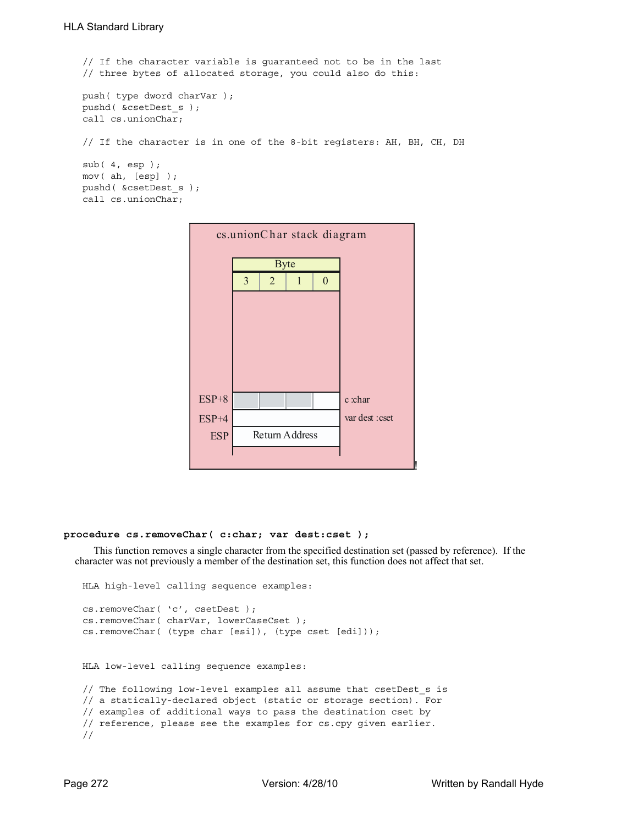```
// If the character variable is guaranteed not to be in the last
// three bytes of allocated storage, you could also do this:
push( type dword charVar );
pushd( &csetDest_s );
call cs.unionChar;
// If the character is in one of the 8-bit registers: AH, BH, CH, DH
sub( 4, esp );
mov( ah, [esp] );
pushd( &csetDest_s );
call cs.unionChar;
```


#### **procedure cs.removeChar( c:char; var dest:cset );**

This function removes a single character from the specified destination set (passed by reference). If the character was not previously a member of the destination set, this function does not affect that set.

```
HLA high-level calling sequence examples:
cs.removeChar( 'c', csetDest );
cs.removeChar( charVar, lowerCaseCset );
cs.removeChar( (type char [esi]), (type cset [edi]));
HLA low-level calling sequence examples:
// The following low-level examples all assume that csetDest_s is
// a statically-declared object (static or storage section). For
// examples of additional ways to pass the destination cset by
// reference, please see the examples for cs.cpy given earlier.
//
```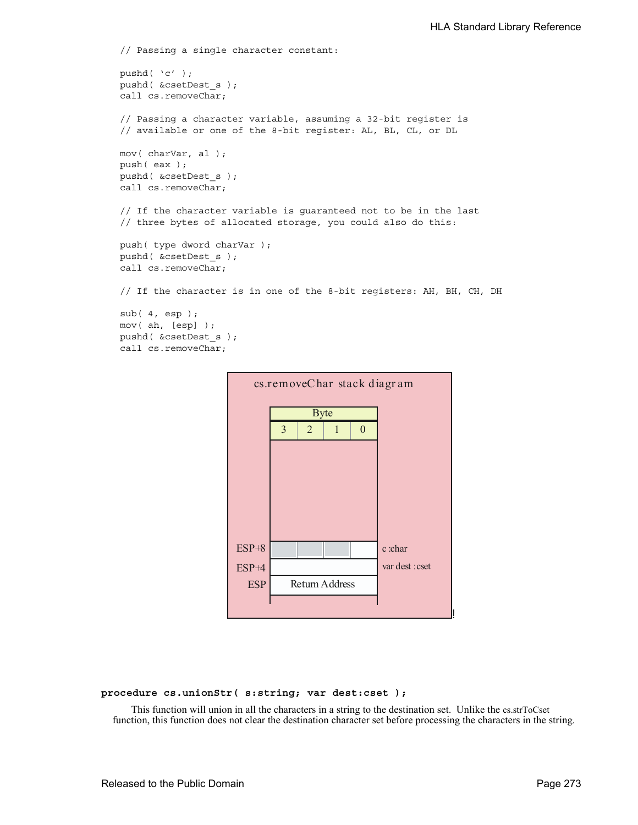```
// Passing a single character constant:
pushd( 'c' );
pushd( &csetDest_s );
call cs.removeChar;
// Passing a character variable, assuming a 32-bit register is
// available or one of the 8-bit register: AL, BL, CL, or DL
mov( charVar, al );
push( eax );
pushd( &csetDest_s );
call cs.removeChar;
// If the character variable is guaranteed not to be in the last
// three bytes of allocated storage, you could also do this:
push( type dword charVar );
pushd( &csetDest_s );
call cs.removeChar;
// If the character is in one of the 8-bit registers: AH, BH, CH, DH
sub( 4, esp );
mov( ah, [esp] );
pushd( &csetDest_s );
call cs.removeChar;
```


**procedure cs.unionStr( s:string; var dest:cset );**

This function will union in all the characters in a string to the destination set. Unlike the cs.strToCset function, this function does not clear the destination character set before processing the characters in the string.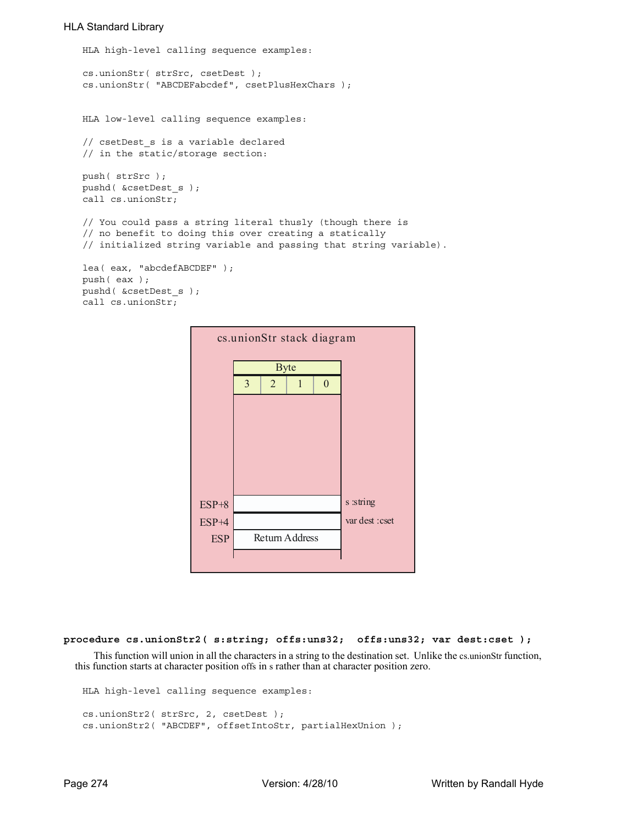```
HLA high-level calling sequence examples:
```

```
cs.unionStr( strSrc, csetDest );
cs.unionStr( "ABCDEFabcdef", csetPlusHexChars );
```
HLA low-level calling sequence examples:

```
// csetDest_s is a variable declared 
// in the static/storage section:
```
push( strSrc ); pushd( &csetDest\_s ); call cs.unionStr;

```
// You could pass a string literal thusly (though there is
// no benefit to doing this over creating a statically
// initialized string variable and passing that string variable).
```

```
lea( eax, "abcdefABCDEF" );
push( eax );
pushd( &csetDest_s );
call cs.unionStr;
```

| cs.unionStr stack diagram |                |                |                |          |                 |  |  |
|---------------------------|----------------|----------------|----------------|----------|-----------------|--|--|
|                           |                | <b>Byte</b>    |                |          |                 |  |  |
|                           | $\overline{3}$ | $\overline{2}$ | 1              | $\theta$ |                 |  |  |
|                           |                |                |                |          |                 |  |  |
|                           |                |                |                |          |                 |  |  |
|                           |                |                |                |          |                 |  |  |
|                           |                |                |                |          |                 |  |  |
|                           |                |                |                |          |                 |  |  |
| $ESP+8$                   |                |                |                |          | s :string       |  |  |
| ESP+4                     |                |                |                |          | var dest : cset |  |  |
| <b>ESP</b>                |                |                | Return Address |          |                 |  |  |
|                           |                |                |                |          |                 |  |  |
|                           |                |                |                |          |                 |  |  |

```
procedure cs.unionStr2( s:string; offs:uns32; offs:uns32; var dest:cset );
```
This function will union in all the characters in a string to the destination set. Unlike the cs.unionStr function, this function starts at character position offs in s rather than at character position zero.

```
HLA high-level calling sequence examples:
cs.unionStr2( strSrc, 2, csetDest );
cs.unionStr2( "ABCDEF", offsetIntoStr, partialHexUnion );
```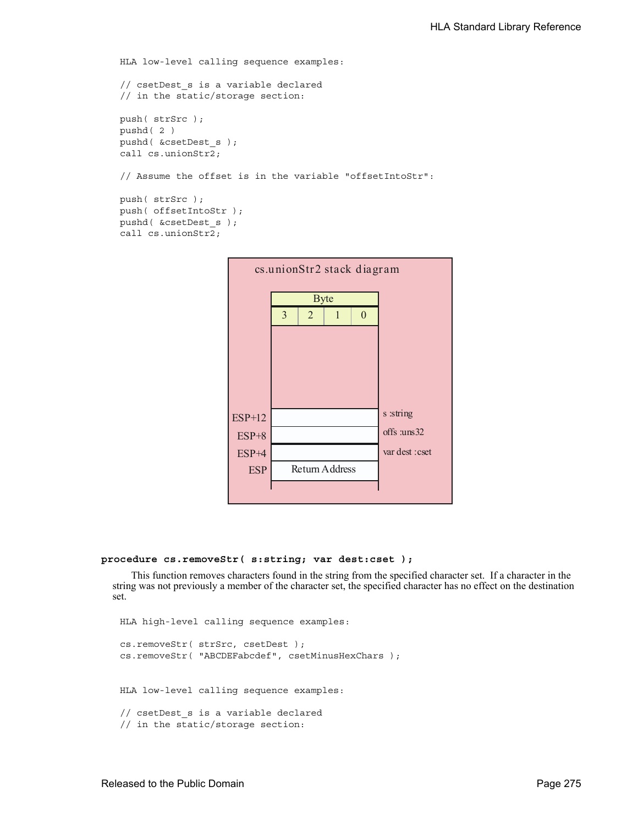```
HLA low-level calling sequence examples:
// csetDest_s is a variable declared 
// in the static/storage section:
push( strSrc );
pushd( 2 )
pushd( &csetDest_s );
call cs.unionStr2;
// Assume the offset is in the variable "offsetIntoStr":
push( strSrc );
push( offsetIntoStr );
pushd( &csetDest_s );
call cs.unionStr2;
```


## **procedure cs.removeStr( s:string; var dest:cset );**

This function removes characters found in the string from the specified character set. If a character in the string was not previously a member of the character set, the specified character has no effect on the destination set.

```
HLA high-level calling sequence examples:
cs.removeStr( strSrc, csetDest );
cs.removeStr( "ABCDEFabcdef", csetMinusHexChars );
HLA low-level calling sequence examples:
// csetDest s is a variable declared
// in the static/storage section:
```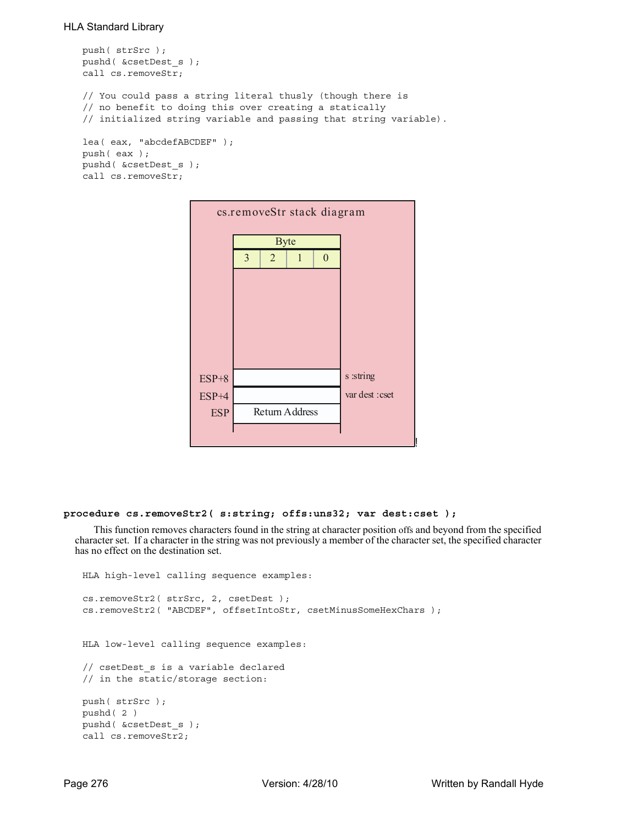```
push( strSrc );
pushd( &csetDest_s );
call cs.removeStr;
// You could pass a string literal thusly (though there is
// no benefit to doing this over creating a statically
// initialized string variable and passing that string variable).
lea( eax, "abcdefABCDEF" );
push( eax );
pushd( &csetDest_s );
call cs.removeStr;
```


## **procedure cs.removeStr2( s:string; offs:uns32; var dest:cset );**

This function removes characters found in the string at character position offs and beyond from the specified character set. If a character in the string was not previously a member of the character set, the specified character has no effect on the destination set.

```
HLA high-level calling sequence examples:
cs.removeStr2( strSrc, 2, csetDest );
cs.removeStr2( "ABCDEF", offsetIntoStr, csetMinusSomeHexChars );
HLA low-level calling sequence examples:
// csetDest_s is a variable declared 
// in the static/storage section:
push( strSrc );
pushd( 2 )
pushd( &csetDest_s );
call cs.removeStr2;
```